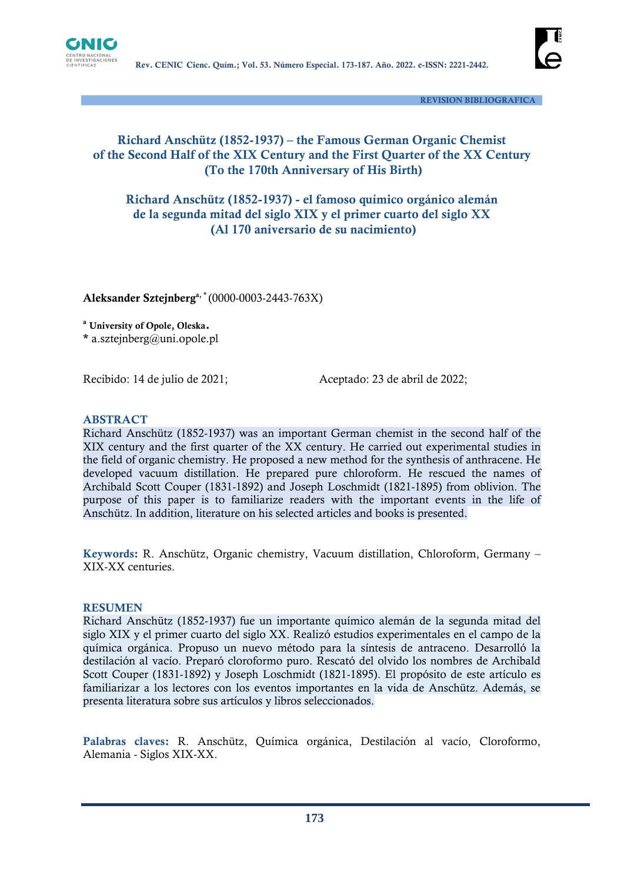



 **REVISION BIBLIOGRAFICA**

## **Richard Anschütz (1852-1937) – the Famous German Organic Chemist of the Second Half of the XIX Century and the First Quarter of the XX Century (To the 170th Anniversary of His Birth)**

**Richard Anschütz (1852-1937) - el famoso químico orgánico alemán de la segunda mitad del siglo XIX y el primer cuarto del siglo XX (Al 170 aniversario de su nacimiento)**

**Aleksander Sztejnberga, \*** (0000-0003-2443-763X)

**<sup>a</sup> University of Opole, Oleska.**

**\*** a.sztejnberg@uni.opole.pl

Recibido: 14 de julio de 2021;<br>
Aceptado: 23 de abril de 2022;

#### **ABSTRACT**

Richard Anschütz (1852-1937) was an important German chemist in the second half of the XIX century and the first quarter of the XX century. He carried out experimental studies in the field of organic chemistry. He proposed a new method for the synthesis of anthracene. He developed vacuum distillation. He prepared pure chloroform. He rescued the names of Archibald Scott Couper (1831-1892) and Joseph Loschmidt (1821-1895) from oblivion. The purpose of this paper is to familiarize readers with the important events in the life of Anschütz. In addition, literature on his selected articles and books is presented.

**Keywords:** R. Anschütz, Organic chemistry, Vacuum distillation, Chloroform, Germany – XIX-XX centuries.

#### **RESUMEN**

Richard Anschütz (1852-1937) fue un importante químico alemán de la segunda mitad del siglo XIX y el primer cuarto del siglo XX. Realizó estudios experimentales en el campo de la química orgánica. Propuso un nuevo método para la síntesis de antraceno. Desarrolló la destilación al vacío. Preparó cloroformo puro. Rescató del olvido los nombres de Archibald Scott Couper (1831-1892) y Joseph Loschmidt (1821-1895). El propósito de este artículo es familiarizar a los lectores con los eventos importantes en la vida de Anschütz. Además, se presenta literatura sobre sus artículos y libros seleccionados.

**Palabras claves:** R. Anschütz, Química orgánica, Destilación al vacío, Cloroformo, Alemania - Siglos XIX-XX.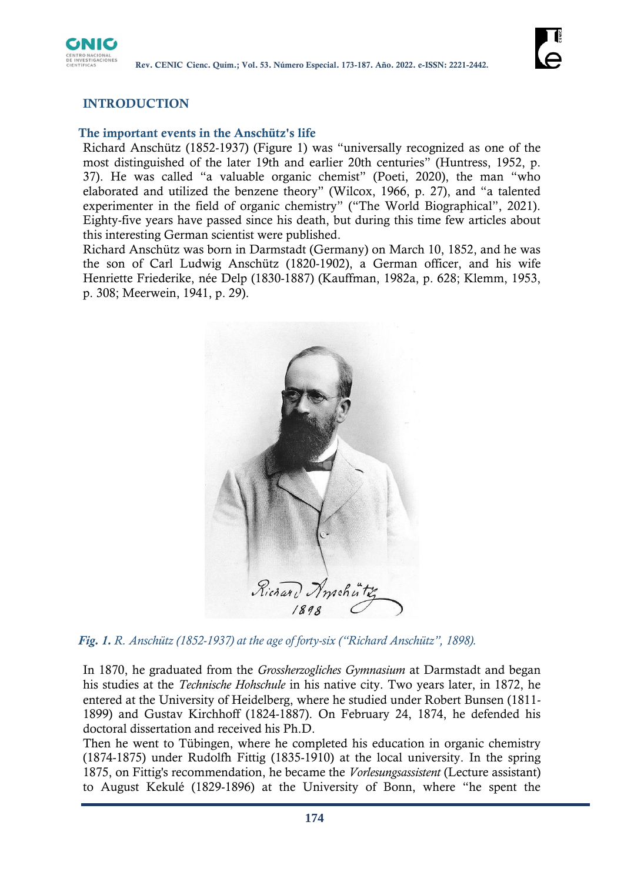

# **INTRODUCTION**

#### **The important events in the Anschütz's life**

Richard Anschütz (1852-1937) (Figure 1) was "universally recognized as one of the most distinguished of the later 19th and earlier 20th centuries" (Huntress, 1952, p. 37). He was called "a valuable organic chemist" (Poeti, 2020), the man "who elaborated and utilized the benzene theory" (Wilcox, 1966, p. 27), and "a talented experimenter in the field of organic chemistry" ("The World Biographical", 2021). Eighty-five years have passed since his death, but during this time few articles about this interesting German scientist were published.

Richard Anschütz was born in Darmstadt (Germany) on March 10, 1852, and he was the son of Carl Ludwig Anschütz (1820-1902), a German officer, and his wife Henriette Friederike, née Delp (1830-1887) (Kauffman, 1982a, p. 628; Klemm, 1953, p. 308; Meerwein, 1941, p. 29).



*Fig. 1. R. Anschütz (1852-1937) at the age of forty-six ("Richard Anschütz", 1898).*

In 1870, he graduated from the *Grossherzogliches Gymnasium* at Darmstadt and began his studies at the *Technische Hohschule* in his native city. Two years later, in 1872, he entered at the University of Heidelberg, where he studied under Robert Bunsen (1811- 1899) and Gustav Kirchhoff (1824-1887). On February 24, 1874, he defended his doctoral dissertation and received his Ph.D.

Then he went to Tübingen, where he completed his education in organic chemistry (1874-1875) under Rudolfh Fittig (1835-1910) at the local university. In the spring 1875, on Fittig's recommendation, he became the *Vorlesungsassistent* (Lecture assistant) to August Kekulé (1829-1896) at the University of Bonn, where "he spent the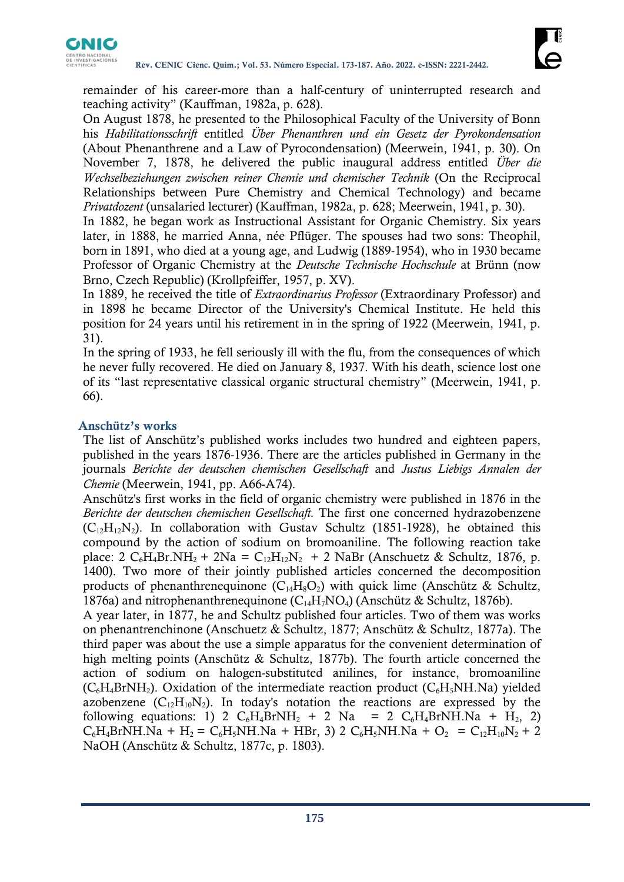

remainder of his career-more than a half-century of uninterrupted research and teaching activity" (Kauffman, 1982a, p. 628).

On August 1878, he presented to the Philosophical Faculty of the University of Bonn his *Habilitationsschrift* entitled *Über Phenanthren und ein Gesetz der Pyrokondensation* (About Phenanthrene and a Law of Pyrocondensation) (Meerwein, 1941, p. 30). On November 7, 1878, he delivered the public inaugural address entitled *Über die Wechselbeziehungen zwischen reiner Chemie und chemischer Technik* (On the Reciprocal Relationships between Pure Chemistry and Chemical Technology) and became *Privatdozent* (unsalaried lecturer) (Kauffman, 1982a, p. 628; Meerwein, 1941, p. 30).

In 1882, he began work as Instructional Assistant for Organic Chemistry. Six years later, in 1888, he married Anna, née Pflüger. The spouses had two sons: Theophil, born in 1891, who died at a young age, and Ludwig (1889-1954), who in 1930 became Professor of Organic Chemistry at the *Deutsche Technische Hochschule* at Brünn (now Brno, Czech Republic) (Krollpfeiffer, 1957, p. XV).

In 1889, he received the title of *Extraordinarius Professor* (Extraordinary Professor) and in 1898 he became Director of the University's Chemical Institute. He held this position for 24 years until his retirement in in the spring of 1922 (Meerwein, 1941, p. 31).

In the spring of 1933, he fell seriously ill with the flu, from the consequences of which he never fully recovered. He died on January 8, 1937. With his death, science lost one of its "last representative classical organic structural chemistry" (Meerwein, 1941, p. 66).

#### **Anschütz's works**

The list of Anschütz's published works includes two hundred and eighteen papers, published in the years 1876-1936. There are the articles published in Germany in the journals *Berichte der deutschen chemischen Gesellschaft* and *Justus Liebigs Annalen der Chemie* (Meerwein, 1941, pp. A66-A74).

Anschütz's first works in the field of organic chemistry were published in 1876 in the *Berichte der deutschen chemischen Gesellschaft.* The first one concerned hydrazobenzene  $(C_{12}H_{12}N_2)$ . In collaboration with Gustav Schultz (1851-1928), he obtained this compound by the action of sodium on bromoaniline. The following reaction take place: 2  $C_6H_4Br.NH_2 + 2Na = C_{12}H_{12}N_2 + 2 NaBr$  (Anschuetz & Schultz, 1876, p. 1400). Two more of their jointly published articles concerned the decomposition products of phenanthrenequinone  $(C_{14}H_8O_2)$  with quick lime (Anschütz & Schultz, 1876a) and nitrophenanthrenequinone ( $C_{14}H_7NO_4$ ) (Anschütz & Schultz, 1876b).

A year later, in 1877, he and Schultz published four articles. Two of them was works on phenantrenchinone (Anschuetz & Schultz, 1877; Anschütz & Schultz, 1877a). The third paper was about the use a simple apparatus for the convenient determination of high melting points (Anschütz & Schultz, 1877b). The fourth article concerned the action of sodium on halogen-substituted anilines, for instance, bromoaniline  $(C_6H_4BrNH_2)$ . Oxidation of the intermediate reaction product  $(C_6H_5NH.Na)$  yielded azobenzene  $(C_{12}H_{10}N_2)$ . In today's notation the reactions are expressed by the following equations: 1) 2  $C_6H_4BrNH_2$  + 2 Na = 2  $C_6H_4BrNH_2$  +  $H_2$ , 2)  $C_6H_4BrNH$ .Na + H<sub>2</sub> =  $C_6H_5NH$ .Na + HBr, 3) 2  $C_6H_5NH$ .Na + O<sub>2</sub> =  $C_{12}H_{10}N_2$  + 2 NaOH (Anschütz & Schultz, 1877c, p. 1803).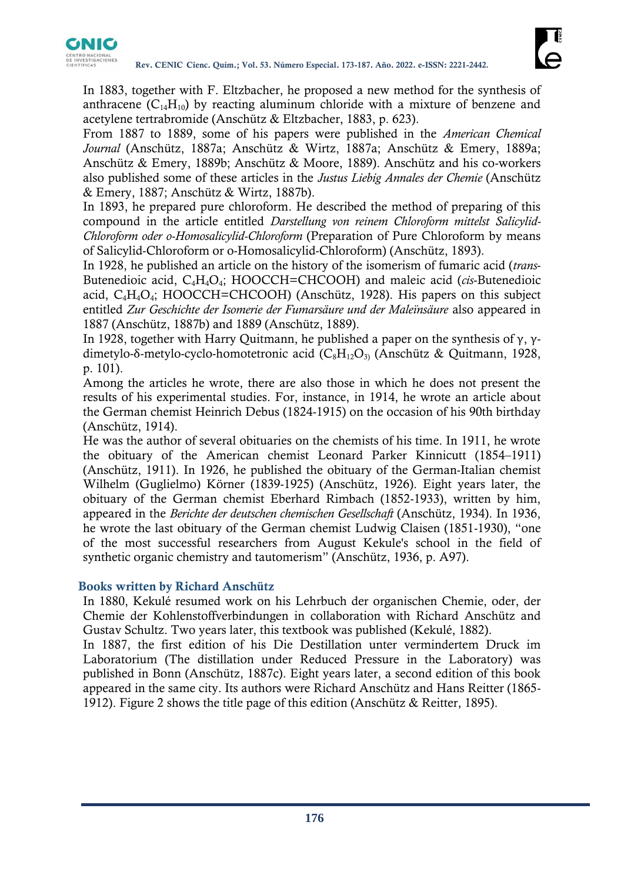

In 1883, together with F. Eltzbacher, he proposed a new method for the synthesis of anthracene  $(C_{14}H_{10})$  by reacting aluminum chloride with a mixture of benzene and acetylene tertrabromide (Anschütz & Eltzbacher, 1883, p. 623).

From 1887 to 1889, some of his papers were published in the *American Chemical Journal* (Anschütz, 1887a; Anschütz & Wirtz, 1887a; Anschütz & Emery, 1889a; Anschütz & Emery, 1889b; Anschütz & Moore, 1889). Anschütz and his co-workers also published some of these articles in the *Justus Liebig Annales der Chemie* (Anschütz & Emery, 1887; Anschütz & Wirtz, 1887b).

In 1893, he prepared pure chloroform. He described the method of preparing of this compound in the article entitled *Darstellung von reinem Chloroform mittelst Salicylid-Chloroform oder o-Homosalicylid-Chloroform* (Preparation of Pure Chloroform by means of Salicylid-Chloroform or o-Homosalicylid-Chloroform) (Anschütz, 1893).

In 1928, he published an article on the history of the isomerism of fumaric acid (*trans*-Butenedioic acid, C4H4O4; HOOCCH=CHCOOH) and maleic acid (*cis*-Butenedioic acid,  $C_4H_4O_4$ ; HOOCCH=CHCOOH) (Anschütz, 1928). His papers on this subject entitled *Zur Geschichte der Isomerie der Fumarsäure und der Maleïnsäure* also appeared in 1887 (Anschütz, 1887b) and 1889 (Anschütz, 1889).

In 1928, together with Harry Quitmann, he published a paper on the synthesis of  $\gamma$ ,  $\gamma$ dimetylo-δ-metylo-cyclo-homotetronic acid (C<sub>8</sub>H<sub>12</sub>O<sub>3)</sub> (Anschütz & Quitmann, 1928, p. 101).

Among the articles he wrote, there are also those in which he does not present the results of his experimental studies. For, instance, in 1914, he wrote an article about the German chemist Heinrich Debus (1824-1915) on the occasion of his 90th birthday (Anschütz, 1914).

He was the author of several obituaries on the chemists of his time. In 1911, he wrote the obituary of the American chemist Leonard Parker Kinnicutt (1854–1911) (Anschütz, 1911). In 1926, he published the obituary of the German-Italian chemist Wilhelm (Guglielmo) Körner (1839-1925) (Anschütz, 1926). Eight years later, the obituary of the German chemist Eberhard Rimbach (1852-1933), written by him, appeared in the *Berichte der deutschen chemischen Gesellschaft* (Anschütz, 1934). In 1936, he wrote the last obituary of the German chemist Ludwig Claisen (1851-1930), "one of the most successful researchers from August Kekule's school in the field of synthetic organic chemistry and tautomerism" (Anschütz, 1936, p. A97).

## **Books written by Richard Anschütz**

In 1880, Kekulé resumed work on his Lehrbuch der organischen Chemie, oder, der Chemie der Kohlenstoffverbindungen in collaboration with Richard Anschütz and Gustav Schultz. Two years later, this textbook was published (Kekulé, 1882).

In 1887, the first edition of his Die Destillation unter vermindertem Druck im Laboratorium (The distillation under Reduced Pressure in the Laboratory) was published in Bonn (Anschütz, 1887c). Eight years later, a second edition of this book appeared in the same city. Its authors were Richard Anschütz and Hans Reitter (1865- 1912). Figure 2 shows the title page of this edition (Anschütz & Reitter, 1895).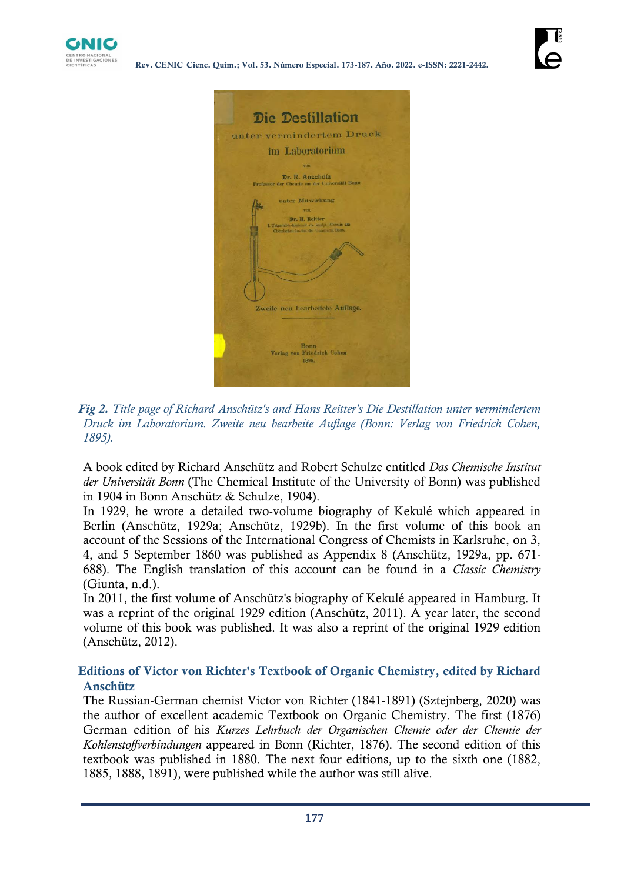



*Fig 2. Title page of Richard Anschütz's and Hans Reitter's Die Destillation unter vermindertem Druck im Laboratorium. Zweite neu bearbeite Auflage (Bonn: Verlag von Friedrich Cohen, 1895).*

A book edited by Richard Anschütz and Robert Schulze entitled *Das Chemische Institut der Universität Bonn* (The Chemical Institute of the University of Bonn) was published in 1904 in Bonn Anschütz & Schulze, 1904).

In 1929, he wrote a detailed two-volume biography of Kekulé which appeared in Berlin (Anschütz, 1929a; Anschütz, 1929b). In the first volume of this book an account of the Sessions of the International Congress of Chemists in Karlsruhe, on 3, 4, and 5 September 1860 was published as Appendix 8 (Anschütz, 1929a, pp. 671- 688). The English translation of this account can be found in a *Classic Chemistry*  (Giunta, n.d.).

In 2011, the first volume of Anschütz's biography of Kekulé appeared in Hamburg. It was a reprint of the original 1929 edition (Anschütz, 2011). A year later, the second volume of this book was published. It was also a reprint of the original 1929 edition (Anschütz, 2012).

## **Editions of Victor von Richter's Textbook of Organic Chemistry, edited by Richard Anschütz**

The Russian-German chemist Victor von Richter (1841-1891) (Sztejnberg, 2020) was the author of excellent academic Textbook on Organic Chemistry. The first (1876) German edition of his *Kurzes Lehrbuch der Organischen Chemie oder der Chemie der Kohlenstoffverbindungen* appeared in Bonn (Richter, 1876). The second edition of this textbook was published in 1880. The next four editions, up to the sixth one (1882, 1885, 1888, 1891), were published while the author was still alive.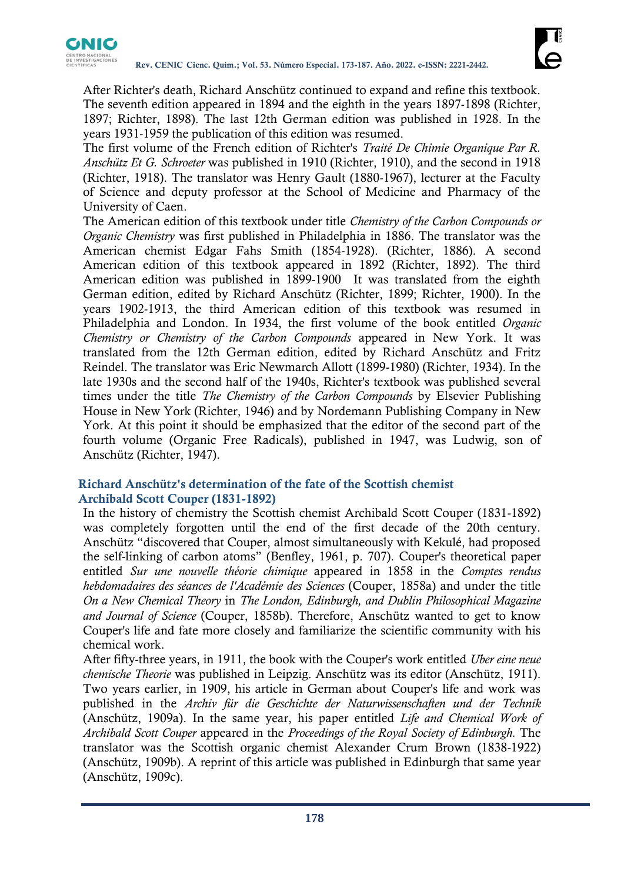

After Richter's death, Richard Anschütz continued to expand and refine this textbook. The seventh edition appeared in 1894 and the eighth in the years 1897-1898 (Richter, 1897; Richter, 1898). The last 12th German edition was published in 1928. In the years 1931-1959 the publication of this edition was resumed.

The first volume of the French edition of Richter's *Traité De Chimie Organique Par R. Anschütz Et G. Schroeter* was published in 1910 (Richter, 1910), and the second in 1918 (Richter, 1918). The translator was Henry Gault (1880-1967), lecturer at the Faculty of Science and deputy professor at the School of Medicine and Pharmacy of the University of Caen.

The American edition of this textbook under title *Chemistry of the Carbon Compounds or Organic Chemistry* was first published in Philadelphia in 1886. The translator was the American chemist Edgar Fahs Smith (1854-1928). (Richter, 1886). A second American edition of this textbook appeared in 1892 (Richter, 1892). The third American edition was published in 1899-1900 It was translated from the eighth German edition, edited by Richard Anschütz (Richter, 1899; Richter, 1900). In the years 1902-1913, the third American edition of this textbook was resumed in Philadelphia and London. In 1934, the first volume of the book entitled *Organic Chemistry or Chemistry of the Carbon Compounds* appeared in New York. It was translated from the 12th German edition, edited by Richard Anschütz and Fritz Reindel. The translator was Eric Newmarch Allott (1899-1980) (Richter, 1934). In the late 1930s and the second half of the 1940s, Richter's textbook was published several times under the title *The Chemistry of the Carbon Compounds* by Elsevier Publishing House in New York (Richter, 1946) and by Nordemann Publishing Company in New York. At this point it should be emphasized that the editor of the second part of the fourth volume (Organic Free Radicals), published in 1947, was Ludwig, son of Anschütz (Richter, 1947).

## **Richard Anschütz's determination of the fate of the Scottish chemist Archibald Scott Couper (1831-1892)**

In the history of chemistry the Scottish chemist Archibald Scott Couper (1831-1892) was completely forgotten until the end of the first decade of the 20th century. Anschütz "discovered that Couper, almost simultaneously with Kekulé, had proposed the self-linking of carbon atoms" (Benfley, 1961, p. 707). Couper's theoretical paper entitled *Sur une nouvelle théorie chimique* appeared in 1858 in the *Comptes rendus hebdomadaires des séances de l'Académie des Sciences* (Couper, 1858a) and under the title *On a New Chemical Theory* in *The London, Edinburgh, and Dublin Philosophical Magazine and Journal of Science* (Couper, 1858b). Therefore, Anschütz wanted to get to know Couper's life and fate more closely and familiarize the scientific community with his chemical work.

After fifty-three years, in 1911, the book with the Couper's work entitled *Über eine neue chemische Theorie* was published in Leipzig. Anschütz was its editor (Anschütz, 1911). Two years earlier, in 1909, his article in German about Couper's life and work was published in the *Archiv für die Geschichte der Naturwissenschaften und der Technik* (Anschütz, 1909a). In the same year, his paper entitled *Life and Chemical Work of Archibald Scott Couper* appeared in the *Proceedings of the Royal Society of Edinburgh.* The translator was the Scottish organic chemist Alexander Crum Brown (1838-1922) (Anschütz, 1909b). A reprint of this article was published in Edinburgh that same year (Anschütz, 1909c).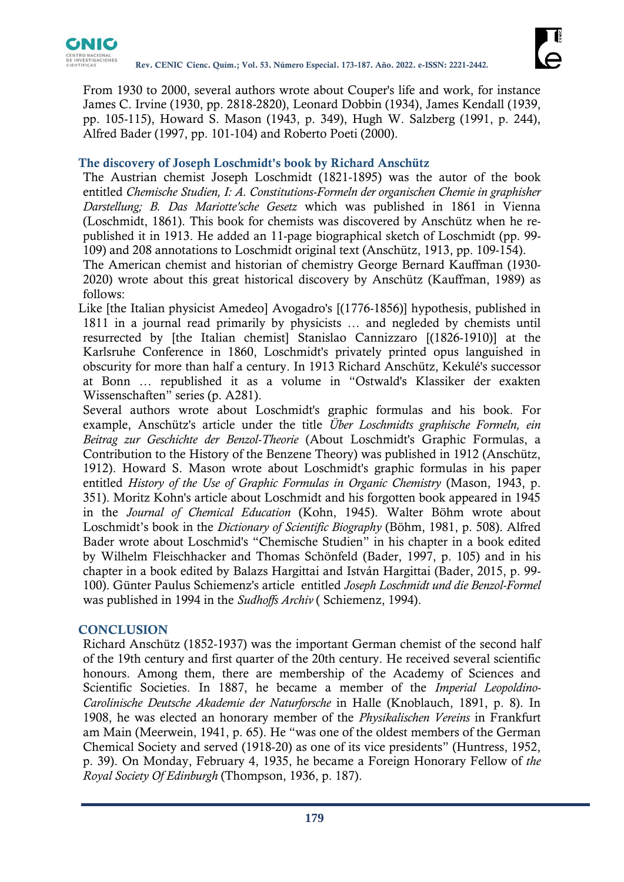

From 1930 to 2000, several authors wrote about Couper's life and work, for instance James C. Irvine (1930, pp. 2818-2820), Leonard Dobbin (1934), James Kendall (1939, pp. 105-115), Howard S. Mason (1943, p. 349), Hugh W. Salzberg (1991, p. 244), Alfred Bader (1997, pp. 101-104) and Roberto Poeti (2000).

## **The discovery of Joseph Loschmidt's book by Richard Anschütz**

The Austrian chemist Joseph Loschmidt (1821-1895) was the autor of the book entitled *Chemische Studien, I: A. Constitutions-Formeln der organischen Chemie in graphisher Darstellung; B. Das Mariotte'sche Gesetz* which was published in 1861 in Vienna (Loschmidt, 1861). This book for chemists was discovered by Anschütz when he republished it in 1913. He added an 11-page biographical sketch of Loschmidt (pp. 99- 109) and 208 annotations to Loschmidt original text (Anschütz, 1913, pp. 109-154).

The American chemist and historian of chemistry George Bernard Kauffman (1930- 2020) wrote about this great historical discovery by Anschütz (Kauffman, 1989) as follows:

Like [the Italian physicist Amedeo] Avogadro's [(1776-1856)] hypothesis, published in 1811 in a journal read primarily by physicists … and negleded by chemists until resurrected by [the Italian chemist] Stanislao Cannizzaro [(1826-1910)] at the Karlsruhe Conference in 1860, Loschmidt's privately printed opus languished in obscurity for more than half a century. In 1913 Richard Anschütz, Kekulé's successor at Bonn … republished it as a volume in "Ostwald's Klassiker der exakten Wissenschaften" series (p. A281).

Several authors wrote about Loschmidt's graphic formulas and his book. For example, Anschütz's article under the title *Über Loschmidts graphische Formeln, ein Beitrag zur Geschichte der Benzol-Theorie* (About Loschmidt's Graphic Formulas, a Contribution to the History of the Benzene Theory) was published in 1912 (Anschütz, 1912). Howard S. Mason wrote about Loschmidt's graphic formulas in his paper entitled *History of the Use of Graphic Formulas in Organic Chemistry* (Mason, 1943, p. 351). Moritz Kohn's article about Loschmidt and his forgotten book appeared in 1945 in the *Journal of Chemical Education* (Kohn, 1945). Walter Böhm wrote about Loschmidt's book in the *Dictionary of Scientific Biography* (Böhm, 1981, p. 508). Alfred Bader wrote about Loschmid's "Chemische Studien" in his chapter in a book edited by Wilhelm Fleischhacker and Thomas Schönfeld (Bader, 1997, p. 105) and in his chapter in a book edited by Balazs Hargittai and István Hargittai (Bader, 2015, p. 99- 100). Günter Paulus Schiemenz's article entitled *Joseph Loschmidt und die Benzol-Formel* was published in 1994 in the *Sudhoffs Archiv* ( Schiemenz, 1994).

#### **CONCLUSION**

Richard Anschütz (1852-1937) was the important German chemist of the second half of the 19th century and first quarter of the 20th century. He received several scientific honours. Among them, there are membership of the Academy of Sciences and Scientific Societies. In 1887, he became a member of the *Imperial Leopoldino-Carolinische Deutsche Akademie der Naturforsche* in Halle (Knoblauch, 1891, p. 8). In 1908, he was elected an honorary member of the *Physikalischen Vereins* in Frankfurt am Main (Meerwein, 1941, p. 65). He "was one of the oldest members of the German Chemical Society and served (1918-20) as one of its vice presidents" (Huntress, 1952, p. 39). On Monday, February 4, 1935, he became a Foreign Honorary Fellow of *the Royal Society Of Edinburgh* (Thompson, 1936, p. 187).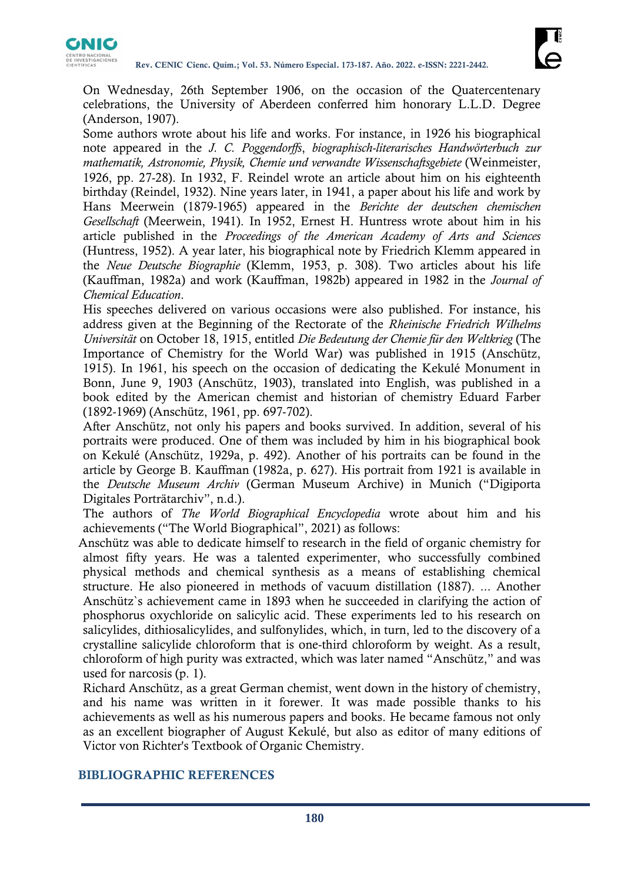

On Wednesday, 26th September 1906, on the occasion of the Quatercentenary celebrations, the University of Aberdeen conferred him honorary L.L.D. Degree (Anderson, 1907).

Some authors wrote about his life and works. For instance, in 1926 his biographical note appeared in the *J. C. Poggendorffs*, *biographisch-literarisches Handwörterbuch zur mathematik, Astronomie, Physik, Chemie und verwandte Wissenschaftsgebiete* (Weinmeister, 1926, pp. 27-28). In 1932, F. Reindel wrote an article about him on his eighteenth birthday (Reindel, 1932). Nine years later, in 1941, a paper about his life and work by Hans Meerwein (1879-1965) appeared in the *Berichte der deutschen chemischen Gesellschaft* (Meerwein, 1941). In 1952, Ernest H. Huntress wrote about him in his article published in the *Proceedings of the American Academy of Arts and Sciences*  (Huntress, 1952). A year later, his biographical note by Friedrich Klemm appeared in the *Neue Deutsche Biographie* (Klemm, 1953, p. 308). Two articles about his life (Kauffman, 1982a) and work (Kauffman, 1982b) appeared in 1982 in the *Journal of Chemical Education*.

His speeches delivered on various occasions were also published. For instance, his address given at the Beginning of the Rectorate of the *Rheinische Friedrich Wilhelms Universität* on October 18, 1915, entitled *Die Bedeutung der Chemie für den Weltkrieg* (The Importance of Chemistry for the World War) was published in 1915 (Anschütz, 1915). In 1961, his speech on the occasion of dedicating the Kekulé Monument in Bonn, June 9, 1903 (Anschütz, 1903), translated into English, was published in a book edited by the American chemist and historian of chemistry Eduard Farber (1892-1969) (Anschütz, 1961, pp. 697-702).

After Anschütz, not only his papers and books survived. In addition, several of his portraits were produced. One of them was included by him in his biographical book on Kekulé (Anschütz, 1929a, p. 492). Another of his portraits can be found in the article by George B. Kauffman (1982a, p. 627). His portrait from 1921 is available in the *Deutsche Museum Archiv* (German Museum Archive) in Munich ("Digiporta Digitales Porträtarchiv", n.d.).

The authors of *The World Biographical Encyclopedia* wrote about him and his achievements ("The World Biographical", 2021) as follows:

Anschütz was able to dedicate himself to research in the field of organic chemistry for almost fifty years. He was a talented experimenter, who successfully combined physical methods and chemical synthesis as a means of establishing chemical structure. He also pioneered in methods of vacuum distillation (1887). ... Another Anschütz`s achievement came in 1893 when he succeeded in clarifying the action of phosphorus oxychloride on salicylic acid. These experiments led to his research on salicylides, dithiosalicylides, and sulfonylides, which, in turn, led to the discovery of a crystalline salicylide chloroform that is one-third chloroform by weight. As a result, chloroform of high purity was extracted, which was later named "Anschütz," and was used for narcosis (p. 1).

Richard Anschütz, as a great German chemist, went down in the history of chemistry, and his name was written in it forewer. It was made possible thanks to his achievements as well as his numerous papers and books. He became famous not only as an excellent biographer of August Kekulé, but also as editor of many editions of Victor von Richter's Textbook of Organic Chemistry.

## **BIBLIOGRAPHIC REFERENCES**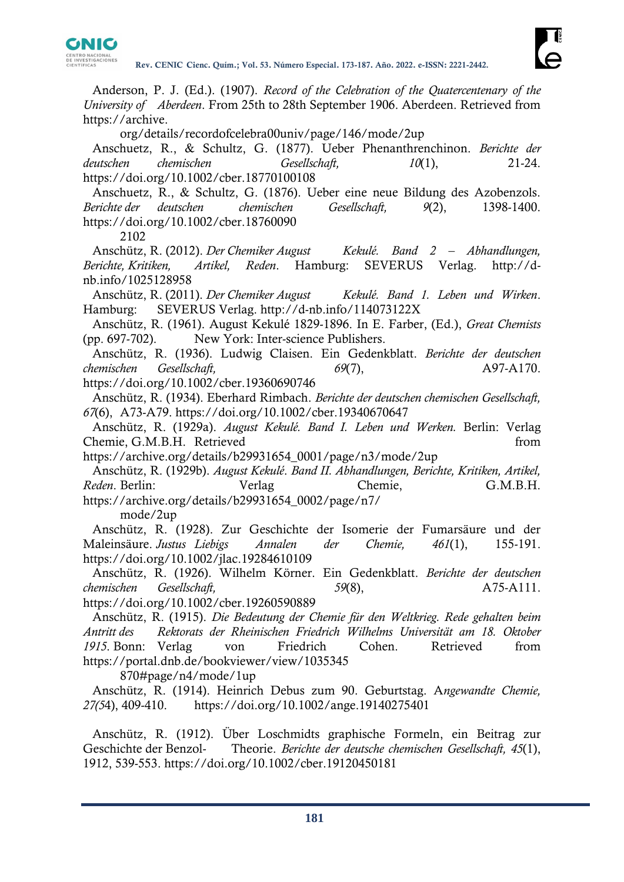

Anderson, P. J. (Ed.). (1907). *Record of the Celebration of the Quatercentenary of the University of Aberdeen*. From 25th to 28th September 1906. Aberdeen. Retrieved from https://archive.

org/details/recordofcelebra00univ/page/146/mode/2up

Anschuetz, R., & Schultz, G. (1877). Ueber Phenanthrenchinon. *Berichte der deutschen chemischen Gesellschaft, 10*(1), 21-24. https://doi.org/10.1002/cber.18770100108

Anschuetz, R., & Schultz, G. (1876). Ueber eine neue Bildung des Azobenzols. *Berichte der deutschen chemischen Gesellschaft, 9*(2), 1398-1400. https://doi.org/10.1002/cber.18760090

2102

Anschütz, R. (2012). *Der Chemiker August Kekulé. Band 2 – Abhandlungen, Berichte, Kritiken, Artikel, Reden*. Hamburg: SEVERUS Verlag. http://dnb.info/1025128958

Anschütz, R. (2011). *Der Chemiker August Kekulé. Band 1. Leben und Wirken*. Hamburg: SEVERUS Verlag. http://d-nb.info/114073122X

Anschütz, R. (1961). August Kekulé 1829-1896. In E. Farber, (Ed.), *Great Chemists*  (pp. 697-702). New York: Inter-science Publishers.

Anschütz, R. (1936). Ludwig Claisen. Ein Gedenkblatt. *Berichte der deutschen chemischen Gesellschaft,* 69(7), A97-A170.

https://doi.org/10.1002/cber.19360690746

Anschütz, R. (1934). Eberhard Rimbach. *Berichte der deutschen chemischen Gesellschaft, 67*(6), A73-A79. https://doi.org/10.1002/cber.19340670647

Anschütz, R. (1929a). *August Kekulé. Band I. Leben und Werken.* Berlin: Verlag Chemie, G.M.B.H. Retrieved from

https://archive.org/details/b29931654\_0001/page/n3/mode/2up

Anschütz, R. (1929b). *August Kekulé*. *Band II. Abhandlungen, Berichte, Kritiken, Artikel, Reden*. Berlin: Verlag Chemie, G.M.B.H. [https://archive.org/details/b29931654\\_0002/page/n7/](https://archive.org/details/b29931654_0002/page/n7/) mode/2up

Anschütz, R. (1928). Zur Geschichte der Isomerie der Fumarsäure und der Maleinsäure. *Justus Liebigs Annalen der Chemie, 461*(1), 155-191. https://doi.org/10.1002/jlac.19284610109

Anschütz, R. (1926). Wilhelm Körner. Ein Gedenkblatt. *Berichte der deutschen chemischen Gesellschaft, 59*(8), A75-A111.

https://doi.org/10.1002/cber.19260590889

Anschütz, R. (1915). *Die Bedeutung der Chemie für den Weltkrieg. Rede gehalten beim Antritt des Rektorats der Rheinischen Friedrich Wilhelms Universität am 18. Oktober 1915*. Bonn: Verlag von Friedrich Cohen. Retrieved from https://portal.dnb.de/bookviewer/view/1035345

870#page/n4/mode/1up

Anschütz, R. (1914). Heinrich Debus zum 90. Geburtstag. A*ngewandte Chemie, 27(5*4), 409-410. https://doi.org/10.1002/ange.19140275401

Anschütz, R. (1912). Über Loschmidts graphische Formeln, ein Beitrag zur Geschichte der Benzol- Theorie. *Berichte der deutsche chemischen Gesellschaft, 45*(1), 1912, 539-553. https://doi.org/10.1002/cber.19120450181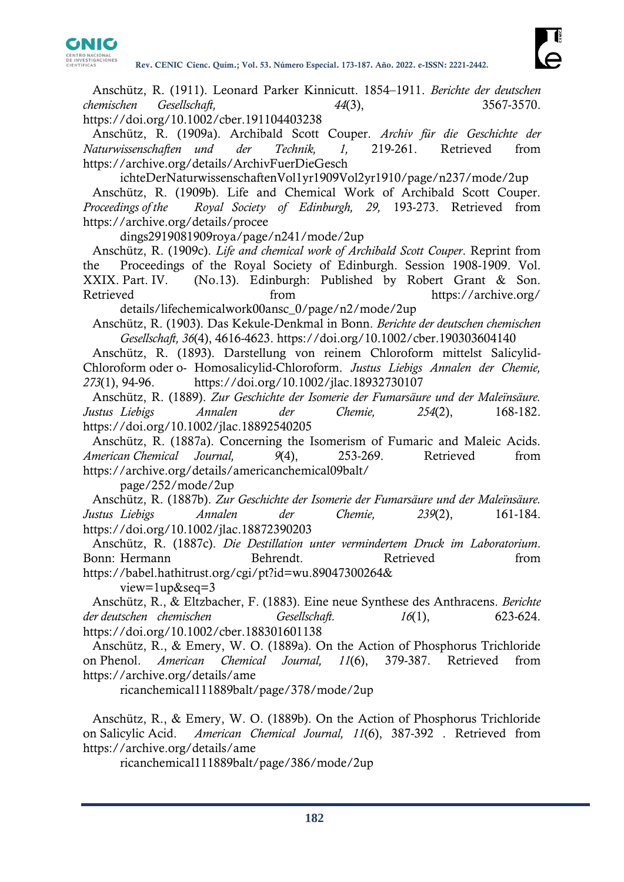

Anschütz, R. (1911). Leonard Parker Kinnicutt. 1854–1911. *Berichte der deutschen chemischen Gesellschaft, 44*(3), 3567-3570. https://doi.org/10.1002/cber.191104403238

Anschütz, R. (1909a). Archibald Scott Couper. *Archiv für die Geschichte der Naturwissenschaften und der Technik, 1,* 219-261. Retrieved from https://archive.org/details/ArchivFuerDieGesch

ichteDerNaturwissenschaftenVol1yr1909Vol2yr1910/page/n237/mode/2up Anschütz, R. (1909b). Life and Chemical Work of Archibald Scott Couper. *Proceedings of the Royal Society of Edinburgh, 29,* 193-273. Retrieved from https://archive.org/details/procee

dings2919081909roya/page/n241/mode/2up

Anschütz, R. (1909c). *Life and chemical work of Archibald Scott Couper*. Reprint from the Proceedings of the Royal Society of Edinburgh. Session 1908-1909. Vol. XXIX. Part. IV. (No.13). Edinburgh: Published by Robert Grant & Son. Retrieved from from https://archive.org/

details/lifechemicalwork00ansc\_0/page/n2/mode/2up

Anschütz, R. (1903). Das Kekule-Denkmal in Bonn. *Berichte der deutschen chemischen Gesellschaft, 36*(4), 4616-4623. https://doi.org/10.1002/cber.190303604140

Anschütz, R. (1893). Darstellung von reinem Chloroform mittelst Salicylid-Chloroform oder o- Homosalicylid-Chloroform. *Justus Liebigs Annalen der Chemie, 273*(1), 94-96. https://doi.org/10.1002/jlac.18932730107

Anschütz, R. (1889). *Zur Geschichte der Isomerie der Fumarsäure und der Maleïnsäure. Justus Liebigs Annalen der Chemie, 254*(2), 168-182. https://doi.org/10.1002/jlac.18892540205

Anschütz, R. (1887a). Concerning the Isomerism of Fumaric and Maleic Acids. *American Chemical Journal, 9*(4), 253-269. Retrieved from https://archive.org/details/americanchemical09balt/

page/252/mode/2up

Anschütz, R. (1887b). *Zur Geschichte der Isomerie der Fumarsäure und der Maleïnsäure. Justus Liebigs Annalen der Chemie, 239*(2), 161-184. https://doi.org/10.1002/jlac.18872390203

Anschütz, R. (1887c). *Die Destillation unter vermindertem Druck im Laboratorium*. Bonn: Hermann Behrendt. Retrieved from https://babel.hathitrust.org/cgi/pt?id=wu.89047300264&

view=1up&seq=3

Anschütz, R., & Eltzbacher, F. (1883). Eine neue Synthese des Anthracens. *Berichte der deutschen chemischen Gesellschaft. 16*(1), 623-624. https://doi.org/10.1002/cber.188301601138

Anschütz, R., & Emery, W. O. (1889a). On the Action of Phosphorus Trichloride on Phenol. *American Chemical Journal, 11*(6), 379-387. Retrieved from https://archive.org/details/ame

ricanchemical111889balt/page/378/mode/2up

Anschütz, R., & Emery, W. O. (1889b). On the Action of Phosphorus Trichloride on Salicylic Acid. *American Chemical Journal, 11*(6), 387-392 . Retrieved from https://archive.org/details/ame

ricanchemical111889balt/page/386/mode/2up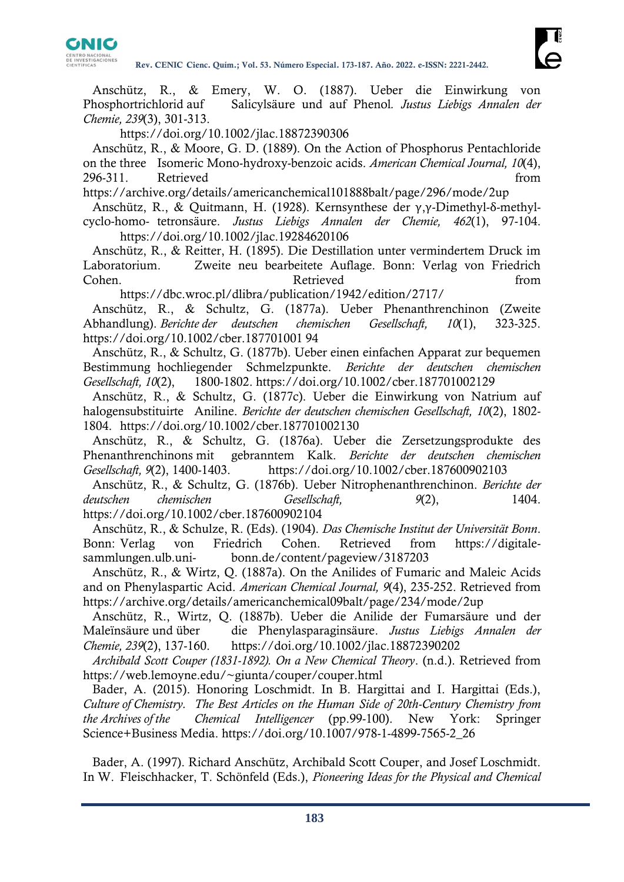

Anschütz, R., & Emery, W. O. (1887). Ueber die Einwirkung von Phosphortrichlorid auf Salicylsäure und auf Phenol*. Justus Liebigs Annalen der Chemie, 239*(3), 301-313.

https://doi.org/10.1002/jlac.18872390306

Anschütz, R., & Moore, G. D. (1889). On the Action of Phosphorus Pentachloride on the three Isomeric Mono-hydroxy-benzoic acids. *American Chemical Journal, 10*(4), 296-311. Retrieved from

https://archive.org/details/americanchemical101888balt/page/296/mode/2up

Anschütz, R., & Quitmann, H. (1928). Kernsynthese der γ,γ-Dimethyl-δ-methylcyclo-homo- tetronsäure. *Justus Liebigs Annalen der Chemie, 462*(1), 97-104. https://doi.org/10.1002/jlac.19284620106

Anschütz, R., & Reitter, H. (1895). Die Destillation unter vermindertem Druck im Laboratorium. Zweite neu bearbeitete Auflage. Bonn: Verlag von Friedrich Cohen. Retrieved from Retrieved from  $\alpha$ 

https://dbc.wroc.pl/dlibra/publication/1942/edition/2717/

Anschütz, R., & Schultz, G. (1877a). Ueber Phenanthrenchinon (Zweite Abhandlung). *Berichte der deutschen chemischen Gesellschaft, 10*(1), 323-325. https://doi.org/10.1002/cber.187701001 94

Anschütz, R., & Schultz, G. (1877b). Ueber einen einfachen Apparat zur bequemen Bestimmung hochliegender Schmelzpunkte. *Berichte der deutschen chemischen Gesellschaft, 10*(2), 1800-1802. https://doi.org/10.1002/cber.187701002129

Anschütz, R., & Schultz, G. (1877c). Ueber die Einwirkung von Natrium auf halogensubstituirte Aniline. *Berichte der deutschen chemischen Gesellschaft, 10*(2), 1802- 1804. https://doi.org/10.1002/cber.187701002130

Anschütz, R., & Schultz, G. (1876a). Ueber die Zersetzungsprodukte des Phenanthrenchinons mit gebranntem Kalk. *Berichte der deutschen chemischen Gesellschaft, 9*(2), 1400-1403. https://doi.org/10.1002/cber.187600902103

Anschütz, R., & Schultz, G. (1876b). Ueber Nitrophenanthrenchinon. *Berichte der deutschen chemischen Gesellschaft, 9*(2), 1404. https://doi.org/10.1002/cber.187600902104

Anschütz, R., & Schulze, R. (Eds). (1904). *Das Chemische Institut der Universität Bonn*. Bonn: Verlag von Friedrich Cohen. Retrieved from https://digitalesammlungen.ulb.uni- bonn.de/content/pageview/3187203

Anschütz, R., & Wirtz, Q. (1887a). On the Anilides of Fumaric and Maleic Acids and on Phenylaspartic Acid. *American Chemical Journal, 9*(4), 235-252. Retrieved from https://archive.org/details/americanchemical09balt/page/234/mode/2up

Anschütz, R., Wirtz, Q. (1887b). Ueber die Anilide der Fumarsäure und der Maleïnsäure und über die Phenylasparaginsäure. *Justus Liebigs Annalen der Chemie, 239*(2), 137-160. https://doi.org/10.1002/jlac.18872390202

*Archibald Scott Couper (1831-1892). On a New Chemical Theory*. (n.d.). Retrieved from https://web.lemoyne.edu/~giunta/couper/couper.html

Bader, A. (2015). Honoring Loschmidt. In B. Hargittai and I. Hargittai (Eds.), *Culture of Chemistry. The Best Articles on the Human Side of 20th-Century Chemistry from the Archives of the Chemical Intelligencer* (pp.99-100). New York: Springer Science+Business Media. https://doi.org/10.1007/978-1-4899-7565-2\_26

Bader, A. (1997). Richard Anschütz, Archibald Scott Couper, and Josef Loschmidt. In W. Fleischhacker, T. Schönfeld (Eds.), *Pioneering Ideas for the Physical and Chemical*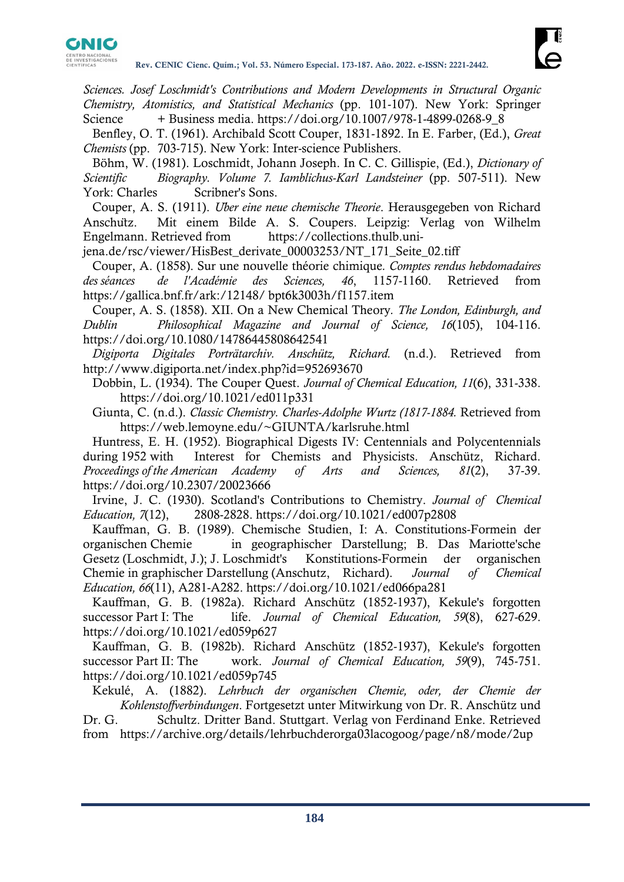

*Sciences. Josef Loschmidt's Contributions and Modern Developments in Structural Organic Chemistry, Atomistics, and Statistical Mechanics* (pp. 101-107). New York: Springer Science + Business media. https://doi.org/10.1007/978-1-4899-0268-9\_8

Benfley, O. T. (1961). Archibald Scott Couper, 1831-1892. In E. Farber, (Ed.), *Great Chemists* (pp. 703-715). New York: Inter-science Publishers.

Böhm, W. (1981). Loschmidt, Johann Joseph. In C. C. Gillispie, (Ed.), *Dictionary of Scientific Biography. Volume 7. Iamblichus-Karl Landsteiner* (pp. 507-511). New York: Charles Scribner's Sons.

Couper, A. S. (1911). *Über eine neue chemische Theorie*. Herausgegeben von Richard Anschütz. Mit einem Bilde A. S. Coupers. Leipzig: Verlag von Wilhelm Engelmann. Retrieved from https://collections.thulb.uni-

jena.de/rsc/viewer/HisBest\_derivate\_00003253/NT\_171\_Seite\_02.tiff

Couper, A. (1858). Sur une nouvelle théorie chimique*. Comptes rendus hebdomadaires des séances de l'Académie des Sciences, 46*, 1157-1160. Retrieved from https://gallica.bnf.fr/ark:/12148/ bpt6k3003h/f1157.item

Couper, A. S. (1858). XII. On a New Chemical Theory*. The London, Edinburgh, and Dublin Philosophical Magazine and Journal of Science, 16*(105), 104-116. https://doi.org/10.1080/14786445808642541

*Digiporta Digitales Porträtarchiv. Anschütz, Richard.* (n.d.). Retrieved from http://www.digiporta.net/index.php?id=952693670

Dobbin, L. (1934). The Couper Quest. *Journal of Chemical Education, 11*(6), 331-338. https://doi.org/10.1021/ed011p331

Giunta, C. (n.d.). *Classic Chemistry. Charles-Adolphe Wurtz (1817-1884.* Retrieved from https://web.lemoyne.edu/~GIUNTA/karlsruhe.html

Huntress, E. H. (1952). Biographical Digests IV: Centennials and Polycentennials during 1952 with Interest for Chemists and Physicists. Anschütz, Richard. *Proceedings of the American Academy of Arts and Sciences, 81*(2), 37-39. https://doi.org/10.2307/20023666

Irvine, J. C. (1930). Scotland's Contributions to Chemistry. *Journal of Chemical Education, 7*(12), 2808-2828. https://doi.org/10.1021/ed007p2808

Kauffman, G. B. (1989). Chemische Studien, I: A. Constitutions-Formein der organischen Chemie in geographischer Darstellung; B. Das Mariotte'sche Gesetz (Loschmidt, J.); J. Loschmidt's Konstitutions-Formein der organischen Chemie in graphischer Darstellung (Anschutz, Richard). *Journal of Chemical Education, 66*(11), A281-A282. https://doi.org/10.1021/ed066pa281

Kauffman, G. B. (1982a). Richard Anschütz (1852-1937), Kekule's forgotten successor Part I: The life. *Journal of Chemical Education*, 59(8), 627-629. https://doi.org/10.1021/ed059p627

Kauffman, G. B. (1982b). Richard Anschütz (1852-1937), Kekule's forgotten successor Part II: The work. *Journal of Chemical Education, 59*(9), 745-751. https://doi.org/10.1021/ed059p745

Kekulé, A. (1882). *Lehrbuch der organischen Chemie, oder, der Chemie der Kohlenstoffverbindungen*. Fortgesetzt unter Mitwirkung von Dr. R. Anschütz und

Dr. G. Schultz. Dritter Band. Stuttgart. Verlag von Ferdinand Enke. Retrieved from https://archive.org/details/lehrbuchderorga03lacogoog/page/n8/mode/2up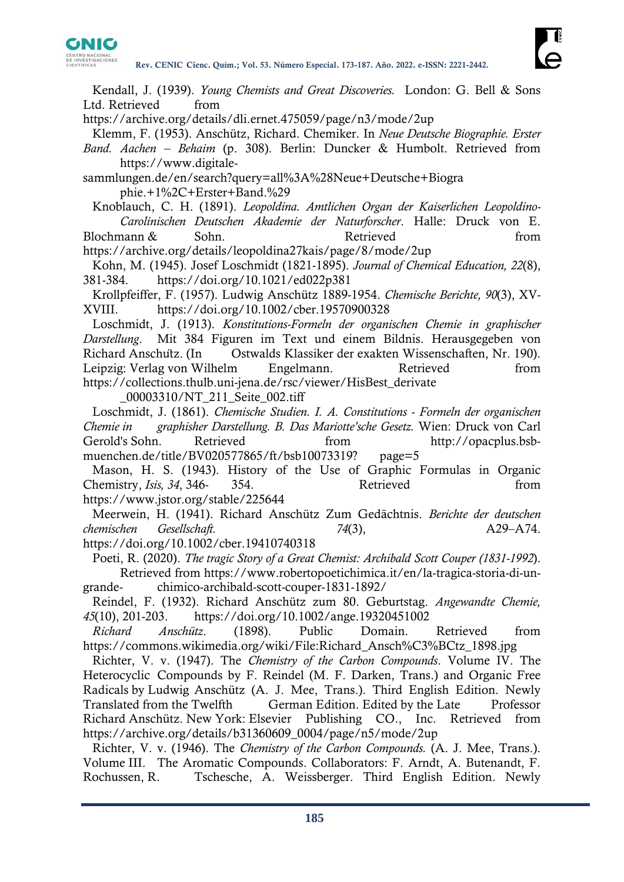

Kendall, J. (1939). *Young Chemists and Great Discoveries.* London: G. Bell & Sons Ltd. Retrieved from

https://archive.org/details/dli.ernet.475059/page/n3/mode/2up

Klemm, F. (1953). Anschütz, Richard. Chemiker. In *Neue Deutsche Biographie. Erster* 

*Band. Aachen – Behaim* (p. 308). Berlin: Duncker & Humbolt. Retrieved from https://www.digitale-

sammlungen.de/en/search?query=all%3A%28Neue+Deutsche+Biogra phie.+1%2C+Erster+Band.%29

Knoblauch, C. H. (1891). *Leopoldina. Amtlichen Organ der Kaiserlichen Leopoldino-Carolinischen Deutschen Akademie der Naturforscher*. Halle: Druck von E. Blochmann & Sohn. Retrieved **Retrieved** from

https://archive.org/details/leopoldina27kais/page/8/mode/2up

Kohn, M. (1945). Josef Loschmidt (1821-1895). *Journal of Chemical Education, 22*(8), 381-384. https://doi.org/10.1021/ed022p381

Krollpfeiffer, F. (1957). Ludwig Anschütz 1889-1954. *Chemische Berichte, 90*(3), XV-XVIII. https://doi.org/10.1002/cber.19570900328

Loschmidt, J. (1913). *Konstitutions-Formeln der organischen Chemie in graphischer Darstellung*. Mit 384 Figuren im Text und einem Bildnis. Herausgegeben von Richard Anschütz. (In Ostwalds Klassiker der exakten Wissenschaften, Nr. 190). Leipzig: Verlag von Wilhelm Engelmann. Retrieved from https://collections.thulb.uni-jena.de/rsc/viewer/HisBest\_derivate

\_00003310/NT\_211\_Seite\_002.tiff

Loschmidt, J. (1861). *Chemische Studien. I. A. Constitutions - Formeln der organischen Chemie in graphisher Darstellung. B. Das Mariotte'sche Gesetz.* Wien: Druck von Carl Gerold's Sohn. Retrieved from http://opacplus.bsbmuenchen.de/title/BV020577865/ft/bsb10073319? page=5

Mason, H. S. (1943). History of the Use of Graphic Formulas in Organic Chemistry, *Isis*, 34, 346- 354. Retrieved from https://www.jstor.org/stable/225644

Meerwein, H. (1941). Richard Anschütz Zum Gedächtnis. *Berichte der deutschen chemischen Gesellschaft. 74*(3), A29–A74.

https://doi.org/10.1002/cber.19410740318

Poeti, R. (2020). *The tragic Story of a Great Chemist: Archibald Scott Couper (1831-1992*). Retrieved from https://www.robertopoetichimica.it/en/la-tragica-storia-di-ungrande- chimico-archibald-scott-couper-1831-1892/

Reindel, F. (1932). Richard Anschütz zum 80. Geburtstag. *Angewandte Chemie, 45*(10), 201-203. https://doi.org/10.1002/ange.19320451002

*Richard Anschütz*. (1898). Public Domain. Retrieved from https://commons.wikimedia.org/wiki/File:Richard\_Ansch%C3%BCtz\_1898.jpg

Richter, V. v. (1947). The *Chemistry of the Carbon Compounds*. Volume IV. The Heterocyclic Compounds by F. Reindel (M. F. Darken, Trans.) and Organic Free Radicals by Ludwig Anschütz (A. J. Mee, Trans.). Third English Edition. Newly Translated from the Twelfth German Edition. Edited by the Late Professor Richard Anschütz. New York: Elsevier Publishing CO., Inc. Retrieved from https://archive.org/details/b31360609\_0004/page/n5/mode/2up

Richter, V. v. (1946). The *Chemistry of the Carbon Compounds.* (A. J. Mee, Trans.). Volume III. The Aromatic Compounds. Collaborators: F. Arndt, A. Butenandt, F. Rochussen, R. Tschesche, A. Weissberger. Third English Edition. Newly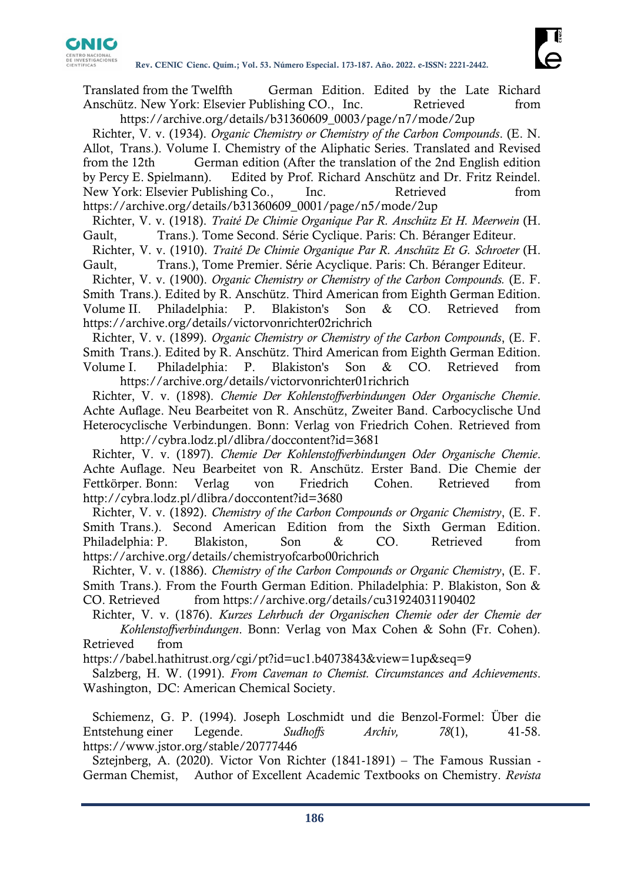

Translated from the Twelfth German Edition. Edited by the Late Richard Anschütz. New York: Elsevier Publishing CO., Inc. Retrieved from

https://archive.org/details/b31360609\_0003/page/n7/mode/2up

Richter, V. v. (1934). *Organic Chemistry or Chemistry of the Carbon Compounds*. (E. N. Allot, Trans.). Volume I. Chemistry of the Aliphatic Series. Translated and Revised from the 12th German edition (After the translation of the 2nd English edition by Percy E. Spielmann). Edited by Prof. Richard Anschütz and Dr. Fritz Reindel. New York: Elsevier Publishing Co., Inc. Retrieved from https://archive.org/details/b31360609\_0001/page/n5/mode/2up

Richter, V. v. (1918). *Traité De Chimie Organique Par R. Anschütz Et H. Meerwein* (H. Gault, Trans.). Tome Second. Série Cyclique. Paris: Ch. Béranger Editeur.

Richter, V. v. (1910). *Traité De Chimie Organique Par R. Anschütz Et G. Schroeter* (H. Gault, Trans.), Tome Premier. Série Acyclique. Paris: Ch. Béranger Editeur.

Richter, V. v. (1900). *Organic Chemistry or Chemistry of the Carbon Compounds.* (E. F. Smith Trans.). Edited by R. Anschütz. Third American from Eighth German Edition. Volume II. Philadelphia: P. Blakiston's Son & CO. Retrieved from https://archive.org/details/victorvonrichter02richrich

Richter, V. v. (1899). *Organic Chemistry or Chemistry of the Carbon Compounds*, (E. F. Smith Trans.). Edited by R. Anschütz. Third American from Eighth German Edition. Volume I. Philadelphia: P. Blakiston's Son & CO. Retrieved from https://archive.org/details/victorvonrichter01richrich

Richter, V. v. (1898). *Chemie Der Kohlenstoffverbindungen Oder Organische Chemie*. Achte Auflage. Neu Bearbeitet von R. Anschütz, Zweiter Band. Carbocyclische Und Heterocyclische Verbindungen. Bonn: Verlag von Friedrich Cohen. Retrieved from

http://cybra.lodz.pl/dlibra/doccontent?id=3681 Richter, V. v. (1897). *Chemie Der Kohlenstoffverbindungen Oder Organische Chemie*. Achte Auflage. Neu Bearbeitet von R. Anschütz. Erster Band. Die Chemie der Fettkörper. Bonn: Verlag von Friedrich Cohen. Retrieved from http://cybra.lodz.pl/dlibra/doccontent?id=3680

Richter, V. v. (1892). *Chemistry of the Carbon Compounds or Organic Chemistry*, (E. F. Smith Trans.). Second American Edition from the Sixth German Edition. Philadelphia: P. Blakiston, Son & CO. Retrieved from https://archive.org/details/chemistryofcarbo00richrich

Richter, V. v. (1886). *Chemistry of the Carbon Compounds or Organic Chemistry*, (E. F. Smith Trans.). From the Fourth German Edition. Philadelphia: P. Blakiston, Son & CO. Retrieved from https://archive.org/details/cu31924031190402

Richter, V. v. (1876). *Kurzes Lehrbuch der Organischen Chemie oder der Chemie der Kohlenstoffverbindungen*. Bonn: Verlag von Max Cohen & Sohn (Fr. Cohen). Retrieved from

https://babel.hathitrust.org/cgi/pt?id=uc1.b4073843&view=1up&seq=9

Salzberg, H. W. (1991). *From Caveman to Chemist. Circumstances and Achievements*. Washington, DC: American Chemical Society.

Schiemenz, G. P. (1994). Joseph Loschmidt und die Benzol-Formel: Über die Entstehung einer Legende. *Sudhoffs Archiv, 78*(1), 41-58. https://www.jstor.org/stable/20777446

Sztejnberg, A. (2020). Victor Von Richter (1841-1891) – The Famous Russian - German Chemist, Author of Excellent Academic Textbooks on Chemistry. *Revista*